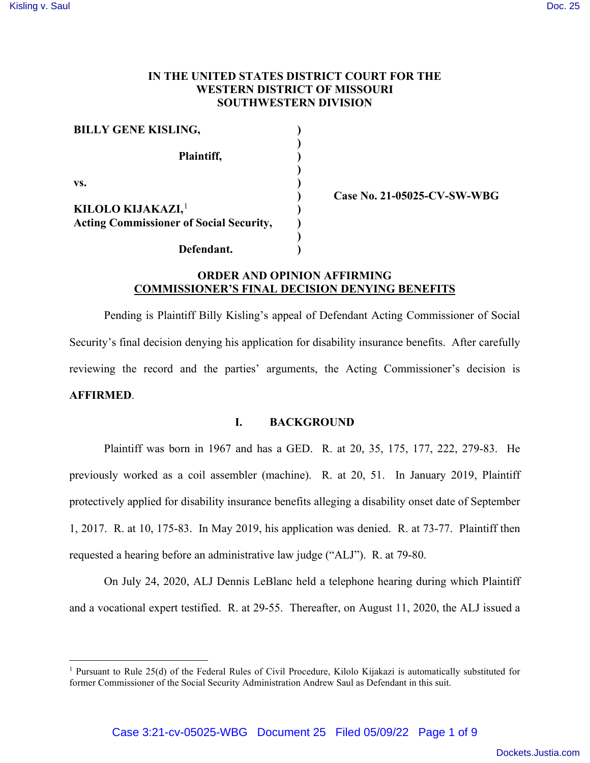## **IN THE UNITED STATES DISTRICT COURT FOR THE WESTERN DISTRICT OF MISSOURI SOUTHWESTERN DIVISION**

| <b>BILLY GENE KISLING,</b>                                                      |  |
|---------------------------------------------------------------------------------|--|
| Plaintiff,                                                                      |  |
| VS.                                                                             |  |
| KILOLO KIJAKAZI, <sup>1</sup><br><b>Acting Commissioner of Social Security,</b> |  |
|                                                                                 |  |
| Defendant.                                                                      |  |

**Case No. 21-05025-CV-SW-WBG** 

# **ORDER AND OPINION AFFIRMING COMMISSIONER'S FINAL DECISION DENYING BENEFITS**

Pending is Plaintiff Billy Kisling's appeal of Defendant Acting Commissioner of Social Security's final decision denying his application for disability insurance benefits. After carefully reviewing the record and the parties' arguments, the Acting Commissioner's decision is **AFFIRMED**.

## **I. BACKGROUND**

Plaintiff was born in 1967 and has a GED. R. at 20, 35, 175, 177, 222, 279-83. He previously worked as a coil assembler (machine). R. at 20, 51. In January 2019, Plaintiff protectively applied for disability insurance benefits alleging a disability onset date of September 1, 2017. R. at 10, 175-83. In May 2019, his application was denied. R. at 73-77. Plaintiff then requested a hearing before an administrative law judge ("ALJ"). R. at 79-80.

On July 24, 2020, ALJ Dennis LeBlanc held a telephone hearing during which Plaintiff and a vocational expert testified. R. at 29-55. Thereafter, on August 11, 2020, the ALJ issued a

<span id="page-0-0"></span><sup>&</sup>lt;sup>1</sup> Pursuant to Rule 25(d) of the Federal Rules of Civil Procedure, Kilolo Kijakazi is automatically substituted for former Commissioner of the Social Security Administration Andrew Saul as Defendant in this suit.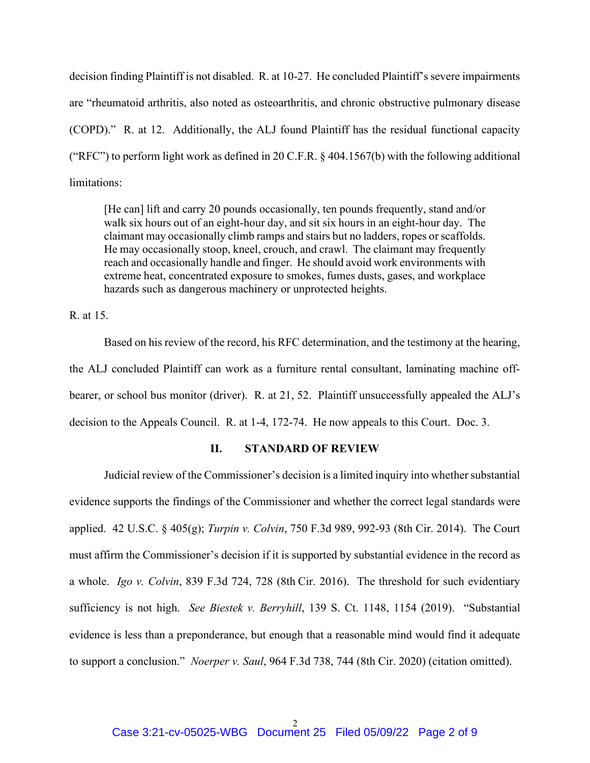decision finding Plaintiff is not disabled. R. at 10-27. He concluded Plaintiff's severe impairments are "rheumatoid arthritis, also noted as osteoarthritis, and chronic obstructive pulmonary disease (COPD)." R. at 12. Additionally, the ALJ found Plaintiff has the residual functional capacity ("RFC") to perform light work as defined in 20 C.F.R. § 404.1567(b) with the following additional limitations:

[He can] lift and carry 20 pounds occasionally, ten pounds frequently, stand and/or walk six hours out of an eight-hour day, and sit six hours in an eight-hour day. The claimant may occasionally climb ramps and stairs but no ladders, ropes or scaffolds. He may occasionally stoop, kneel, crouch, and crawl. The claimant may frequently reach and occasionally handle and finger. He should avoid work environments with extreme heat, concentrated exposure to smokes, fumes dusts, gases, and workplace hazards such as dangerous machinery or unprotected heights.

R. at 15.

Based on his review of the record, his RFC determination, and the testimony at the hearing, the ALJ concluded Plaintiff can work as a furniture rental consultant, laminating machine offbearer, or school bus monitor (driver). R. at 21, 52. Plaintiff unsuccessfully appealed the ALJ's decision to the Appeals Council. R. at 1-4, 172-74. He now appeals to this Court. Doc. 3.

## **II. STANDARD OF REVIEW**

Judicial review of the Commissioner's decision is a limited inquiry into whether substantial evidence supports the findings of the Commissioner and whether the correct legal standards were applied. 42 U.S.C. § 405(g); *Turpin v. Colvin*, 750 F.3d 989, 992-93 (8th Cir. 2014). The Court must affirm the Commissioner's decision if it is supported by substantial evidence in the record as a whole. *Igo v. Colvin*, 839 F.3d 724, 728 (8th Cir. 2016). The threshold for such evidentiary sufficiency is not high. *See Biestek v. Berryhill*, 139 S. Ct. 1148, 1154 (2019). "Substantial evidence is less than a preponderance, but enough that a reasonable mind would find it adequate to support a conclusion." *Noerper v. Saul*, 964 F.3d 738, 744 (8th Cir. 2020) (citation omitted).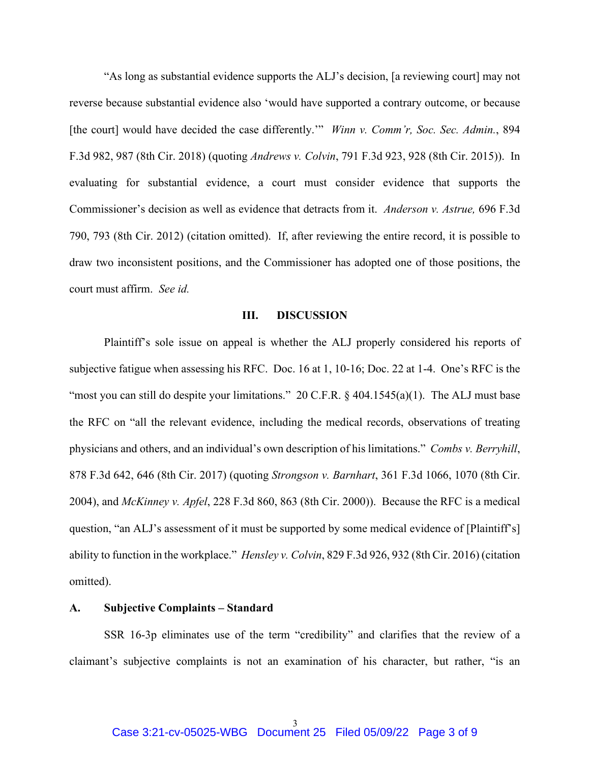"As long as substantial evidence supports the ALJ's decision, [a reviewing court] may not reverse because substantial evidence also 'would have supported a contrary outcome, or because [the court] would have decided the case differently.'" *Winn v. Comm'r, Soc. Sec. Admin.*, 894 F.3d 982, 987 (8th Cir. 2018) (quoting *Andrews v. Colvin*, 791 F.3d 923, 928 (8th Cir. 2015)). In evaluating for substantial evidence, a court must consider evidence that supports the Commissioner's decision as well as evidence that detracts from it. *Anderson v. Astrue,* 696 F.3d 790, 793 (8th Cir. 2012) (citation omitted). If, after reviewing the entire record, it is possible to draw two inconsistent positions, and the Commissioner has adopted one of those positions, the court must affirm. *See id.* 

#### **III. DISCUSSION**

Plaintiff's sole issue on appeal is whether the ALJ properly considered his reports of subjective fatigue when assessing his RFC. Doc. 16 at 1, 10-16; Doc. 22 at 1-4. One's RFC is the "most you can still do despite your limitations." 20 C.F.R. § 404.1545(a)(1). The ALJ must base the RFC on "all the relevant evidence, including the medical records, observations of treating physicians and others, and an individual's own description of his limitations." *Combs v. Berryhill*, 878 F.3d 642, 646 (8th Cir. 2017) (quoting *Strongson v. Barnhart*, 361 F.3d 1066, 1070 (8th Cir. 2004), and *McKinney v. Apfel*, 228 F.3d 860, 863 (8th Cir. 2000)). Because the RFC is a medical question, "an ALJ's assessment of it must be supported by some medical evidence of [Plaintiff's] ability to function in the workplace." *Hensley v. Colvin*, 829 F.3d 926, 932 (8th Cir. 2016) (citation omitted).

#### **A. Subjective Complaints – Standard**

SSR 16-3p eliminates use of the term "credibility" and clarifies that the review of a claimant's subjective complaints is not an examination of his character, but rather, "is an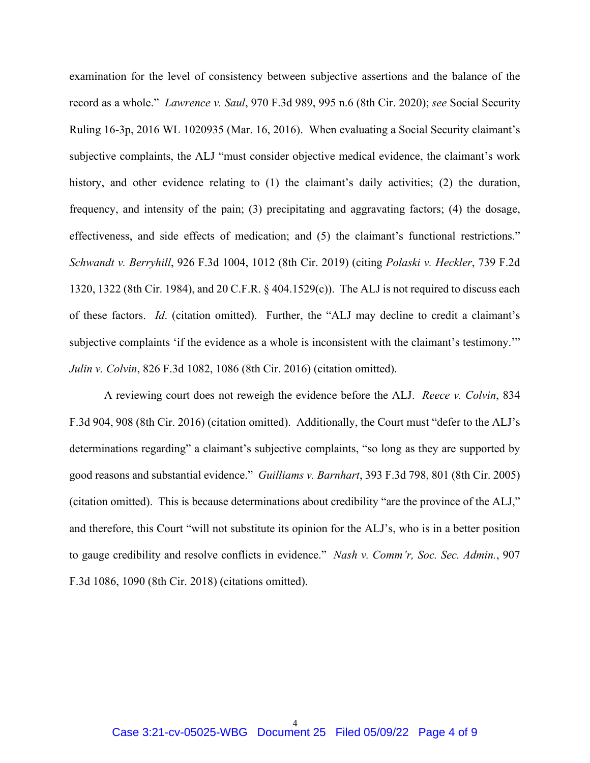examination for the level of consistency between subjective assertions and the balance of the record as a whole." *Lawrence v. Saul*, 970 F.3d 989, 995 n.6 (8th Cir. 2020); *see* Social Security Ruling 16-3p, 2016 WL 1020935 (Mar. 16, 2016). When evaluating a Social Security claimant's subjective complaints, the ALJ "must consider objective medical evidence, the claimant's work history, and other evidence relating to (1) the claimant's daily activities; (2) the duration, frequency, and intensity of the pain; (3) precipitating and aggravating factors; (4) the dosage, effectiveness, and side effects of medication; and (5) the claimant's functional restrictions." *Schwandt v. Berryhill*, 926 F.3d 1004, 1012 (8th Cir. 2019) (citing *Polaski v. Heckler*, 739 F.2d 1320, 1322 (8th Cir. 1984), and 20 C.F.R. § 404.1529(c)). The ALJ is not required to discuss each of these factors. *Id*. (citation omitted). Further, the "ALJ may decline to credit a claimant's subjective complaints 'if the evidence as a whole is inconsistent with the claimant's testimony.'" *Julin v. Colvin*, 826 F.3d 1082, 1086 (8th Cir. 2016) (citation omitted).

A reviewing court does not reweigh the evidence before the ALJ. *Reece v. Colvin*, 834 F.3d 904, 908 (8th Cir. 2016) (citation omitted). Additionally, the Court must "defer to the ALJ's determinations regarding" a claimant's subjective complaints, "so long as they are supported by good reasons and substantial evidence." *Guilliams v. Barnhart*, 393 F.3d 798, 801 (8th Cir. 2005) (citation omitted). This is because determinations about credibility "are the province of the ALJ," and therefore, this Court "will not substitute its opinion for the ALJ's, who is in a better position to gauge credibility and resolve conflicts in evidence." *Nash v. Comm'r, Soc. Sec. Admin.*, 907 F.3d 1086, 1090 (8th Cir. 2018) (citations omitted).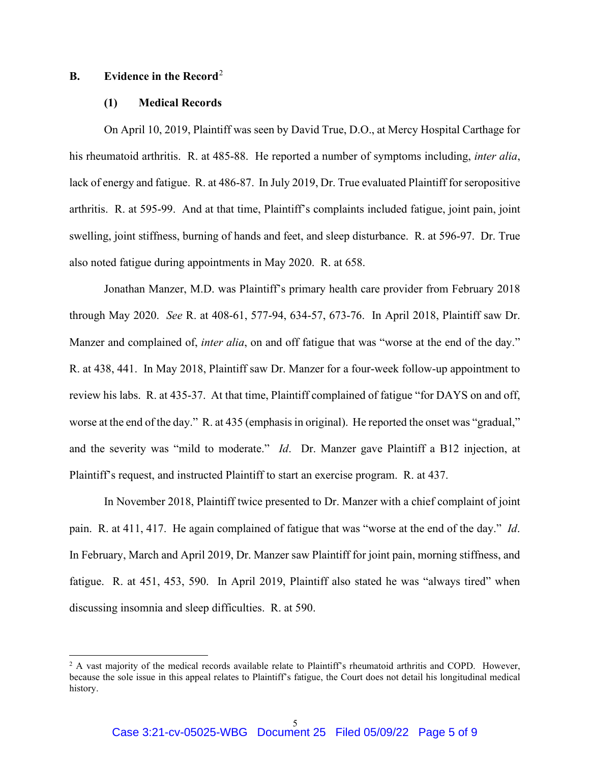## **B. Evidence in the Record**[2](#page-4-0)

## **(1) Medical Records**

On April 10, 2019, Plaintiff was seen by David True, D.O., at Mercy Hospital Carthage for his rheumatoid arthritis. R. at 485-88. He reported a number of symptoms including, *inter alia*, lack of energy and fatigue. R. at 486-87. In July 2019, Dr. True evaluated Plaintiff for seropositive arthritis. R. at 595-99. And at that time, Plaintiff's complaints included fatigue, joint pain, joint swelling, joint stiffness, burning of hands and feet, and sleep disturbance. R. at 596-97. Dr. True also noted fatigue during appointments in May 2020. R. at 658.

 Jonathan Manzer, M.D. was Plaintiff's primary health care provider from February 2018 through May 2020. *See* R. at 408-61, 577-94, 634-57, 673-76. In April 2018, Plaintiff saw Dr. Manzer and complained of, *inter alia*, on and off fatigue that was "worse at the end of the day." R. at 438, 441. In May 2018, Plaintiff saw Dr. Manzer for a four-week follow-up appointment to review his labs. R. at 435-37. At that time, Plaintiff complained of fatigue "for DAYS on and off, worse at the end of the day." R. at 435 (emphasis in original). He reported the onset was "gradual," and the severity was "mild to moderate." *Id*. Dr. Manzer gave Plaintiff a B12 injection, at Plaintiff's request, and instructed Plaintiff to start an exercise program. R. at 437.

In November 2018, Plaintiff twice presented to Dr. Manzer with a chief complaint of joint pain. R. at 411, 417. He again complained of fatigue that was "worse at the end of the day." *Id*. In February, March and April 2019, Dr. Manzer saw Plaintiff for joint pain, morning stiffness, and fatigue. R. at 451, 453, 590. In April 2019, Plaintiff also stated he was "always tired" when discussing insomnia and sleep difficulties. R. at 590.

<span id="page-4-0"></span> $<sup>2</sup>$  A vast majority of the medical records available relate to Plaintiff's rheumatoid arthritis and COPD. However,</sup> because the sole issue in this appeal relates to Plaintiff's fatigue, the Court does not detail his longitudinal medical history.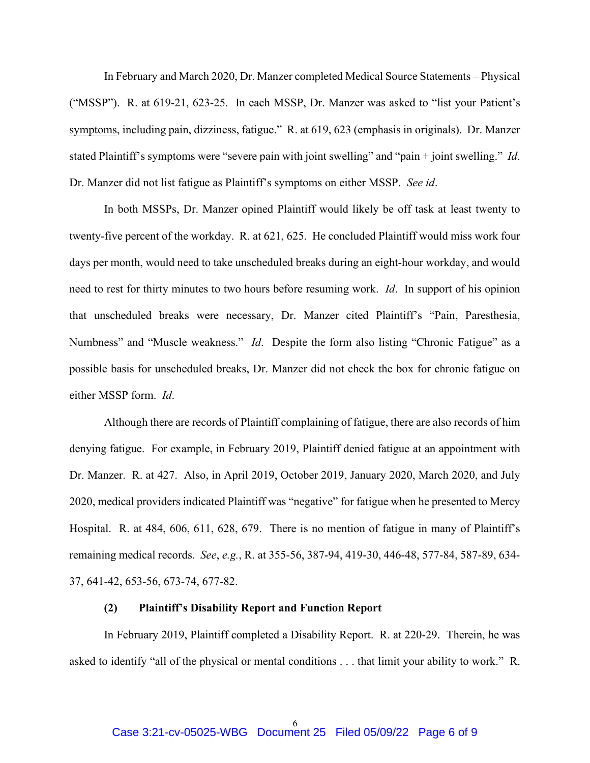In February and March 2020, Dr. Manzer completed Medical Source Statements – Physical ("MSSP"). R. at 619-21, 623-25. In each MSSP, Dr. Manzer was asked to "list your Patient's symptoms, including pain, dizziness, fatigue." R. at 619, 623 (emphasis in originals). Dr. Manzer stated Plaintiff's symptoms were "severe pain with joint swelling" and "pain + joint swelling." *Id*. Dr. Manzer did not list fatigue as Plaintiff's symptoms on either MSSP. *See id*.

In both MSSPs, Dr. Manzer opined Plaintiff would likely be off task at least twenty to twenty-five percent of the workday. R. at 621, 625. He concluded Plaintiff would miss work four days per month, would need to take unscheduled breaks during an eight-hour workday, and would need to rest for thirty minutes to two hours before resuming work. *Id*. In support of his opinion that unscheduled breaks were necessary, Dr. Manzer cited Plaintiff's "Pain, Paresthesia, Numbness" and "Muscle weakness." *Id*. Despite the form also listing "Chronic Fatigue" as a possible basis for unscheduled breaks, Dr. Manzer did not check the box for chronic fatigue on either MSSP form. *Id*.

Although there are records of Plaintiff complaining of fatigue, there are also records of him denying fatigue. For example, in February 2019, Plaintiff denied fatigue at an appointment with Dr. Manzer. R. at 427. Also, in April 2019, October 2019, January 2020, March 2020, and July 2020, medical providers indicated Plaintiff was "negative" for fatigue when he presented to Mercy Hospital. R. at 484, 606, 611, 628, 679. There is no mention of fatigue in many of Plaintiff's remaining medical records. *See*, *e.g.*, R. at 355-56, 387-94, 419-30, 446-48, 577-84, 587-89, 634- 37, 641-42, 653-56, 673-74, 677-82.

## **(2) Plaintiff's Disability Report and Function Report**

In February 2019, Plaintiff completed a Disability Report. R. at 220-29. Therein, he was asked to identify "all of the physical or mental conditions . . . that limit your ability to work." R.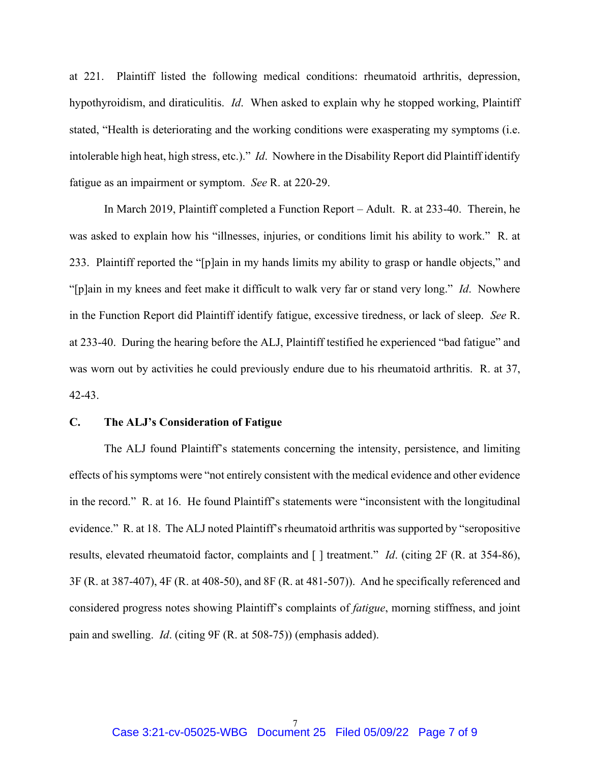at 221. Plaintiff listed the following medical conditions: rheumatoid arthritis, depression, hypothyroidism, and diraticulitis. *Id*. When asked to explain why he stopped working, Plaintiff stated, "Health is deteriorating and the working conditions were exasperating my symptoms (i.e. intolerable high heat, high stress, etc.)." *Id*. Nowhere in the Disability Report did Plaintiff identify fatigue as an impairment or symptom. *See* R. at 220-29.

In March 2019, Plaintiff completed a Function Report – Adult. R. at 233-40. Therein, he was asked to explain how his "illnesses, injuries, or conditions limit his ability to work." R. at 233. Plaintiff reported the "[p]ain in my hands limits my ability to grasp or handle objects," and "[p]ain in my knees and feet make it difficult to walk very far or stand very long." *Id*. Nowhere in the Function Report did Plaintiff identify fatigue, excessive tiredness, or lack of sleep. *See* R. at 233-40. During the hearing before the ALJ, Plaintiff testified he experienced "bad fatigue" and was worn out by activities he could previously endure due to his rheumatoid arthritis. R. at 37, 42-43.

## **C. The ALJ's Consideration of Fatigue**

The ALJ found Plaintiff's statements concerning the intensity, persistence, and limiting effects of his symptoms were "not entirely consistent with the medical evidence and other evidence in the record." R. at 16. He found Plaintiff's statements were "inconsistent with the longitudinal evidence." R. at 18. The ALJ noted Plaintiff's rheumatoid arthritis was supported by "seropositive results, elevated rheumatoid factor, complaints and [ ] treatment." *Id*. (citing 2F (R. at 354-86), 3F (R. at 387-407), 4F (R. at 408-50), and 8F (R. at 481-507)). And he specifically referenced and considered progress notes showing Plaintiff's complaints of *fatigue*, morning stiffness, and joint pain and swelling. *Id*. (citing 9F (R. at 508-75)) (emphasis added).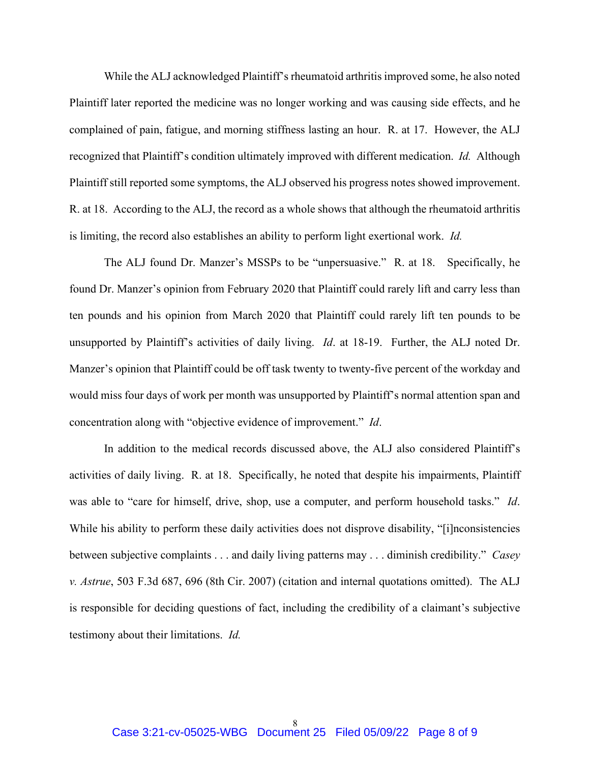While the ALJ acknowledged Plaintiff's rheumatoid arthritis improved some, he also noted Plaintiff later reported the medicine was no longer working and was causing side effects, and he complained of pain, fatigue, and morning stiffness lasting an hour. R. at 17. However, the ALJ recognized that Plaintiff's condition ultimately improved with different medication. *Id.* Although Plaintiff still reported some symptoms, the ALJ observed his progress notes showed improvement. R. at 18. According to the ALJ, the record as a whole shows that although the rheumatoid arthritis is limiting, the record also establishes an ability to perform light exertional work. *Id.*

The ALJ found Dr. Manzer's MSSPs to be "unpersuasive." R. at 18. Specifically, he found Dr. Manzer's opinion from February 2020 that Plaintiff could rarely lift and carry less than ten pounds and his opinion from March 2020 that Plaintiff could rarely lift ten pounds to be unsupported by Plaintiff's activities of daily living. *Id*. at 18-19. Further, the ALJ noted Dr. Manzer's opinion that Plaintiff could be off task twenty to twenty-five percent of the workday and would miss four days of work per month was unsupported by Plaintiff's normal attention span and concentration along with "objective evidence of improvement." *Id*.

In addition to the medical records discussed above, the ALJ also considered Plaintiff's activities of daily living. R. at 18. Specifically, he noted that despite his impairments, Plaintiff was able to "care for himself, drive, shop, use a computer, and perform household tasks." *Id*. While his ability to perform these daily activities does not disprove disability, "[i]nconsistencies between subjective complaints . . . and daily living patterns may . . . diminish credibility." *Casey v. Astrue*, 503 F.3d 687, 696 (8th Cir. 2007) (citation and internal quotations omitted). The ALJ is responsible for deciding questions of fact, including the credibility of a claimant's subjective testimony about their limitations. *Id.*